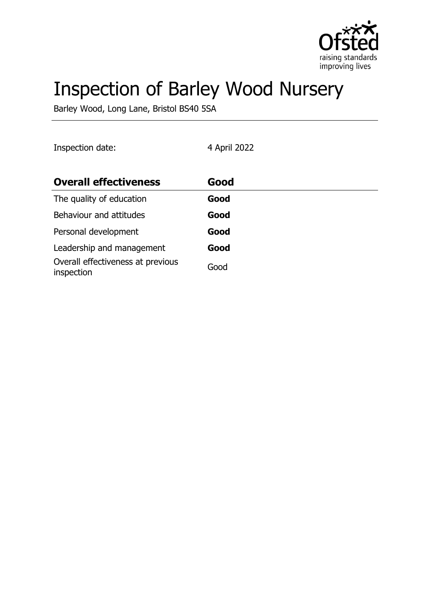

# Inspection of Barley Wood Nursery

Barley Wood, Long Lane, Bristol BS40 5SA

| Inspection date:                                | 4 April 2022 |  |
|-------------------------------------------------|--------------|--|
| <b>Overall effectiveness</b>                    | Good         |  |
| The quality of education                        | Good         |  |
| Behaviour and attitudes                         | Good         |  |
| Personal development                            | Good         |  |
| Leadership and management                       | Good         |  |
| Overall effectiveness at previous<br>inspection | Good         |  |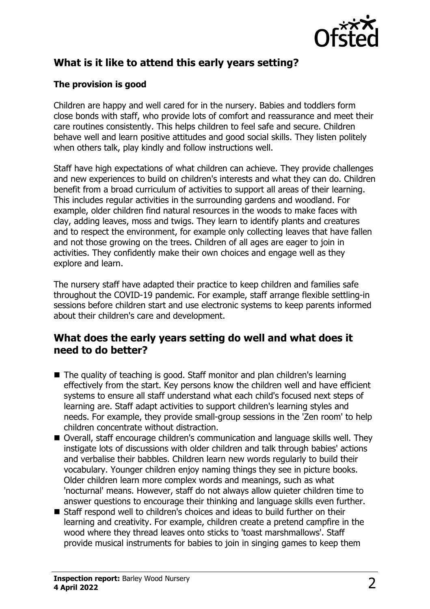

# **What is it like to attend this early years setting?**

#### **The provision is good**

Children are happy and well cared for in the nursery. Babies and toddlers form close bonds with staff, who provide lots of comfort and reassurance and meet their care routines consistently. This helps children to feel safe and secure. Children behave well and learn positive attitudes and good social skills. They listen politely when others talk, play kindly and follow instructions well.

Staff have high expectations of what children can achieve. They provide challenges and new experiences to build on children's interests and what they can do. Children benefit from a broad curriculum of activities to support all areas of their learning. This includes regular activities in the surrounding gardens and woodland. For example, older children find natural resources in the woods to make faces with clay, adding leaves, moss and twigs. They learn to identify plants and creatures and to respect the environment, for example only collecting leaves that have fallen and not those growing on the trees. Children of all ages are eager to join in activities. They confidently make their own choices and engage well as they explore and learn.

The nursery staff have adapted their practice to keep children and families safe throughout the COVID-19 pandemic. For example, staff arrange flexible settling-in sessions before children start and use electronic systems to keep parents informed about their children's care and development.

#### **What does the early years setting do well and what does it need to do better?**

- $\blacksquare$  The quality of teaching is good. Staff monitor and plan children's learning effectively from the start. Key persons know the children well and have efficient systems to ensure all staff understand what each child's focused next steps of learning are. Staff adapt activities to support children's learning styles and needs. For example, they provide small-group sessions in the 'Zen room' to help children concentrate without distraction.
- Overall, staff encourage children's communication and language skills well. They instigate lots of discussions with older children and talk through babies' actions and verbalise their babbles. Children learn new words regularly to build their vocabulary. Younger children enjoy naming things they see in picture books. Older children learn more complex words and meanings, such as what 'nocturnal' means. However, staff do not always allow quieter children time to answer questions to encourage their thinking and language skills even further.
- Staff respond well to children's choices and ideas to build further on their learning and creativity. For example, children create a pretend campfire in the wood where they thread leaves onto sticks to 'toast marshmallows'. Staff provide musical instruments for babies to join in singing games to keep them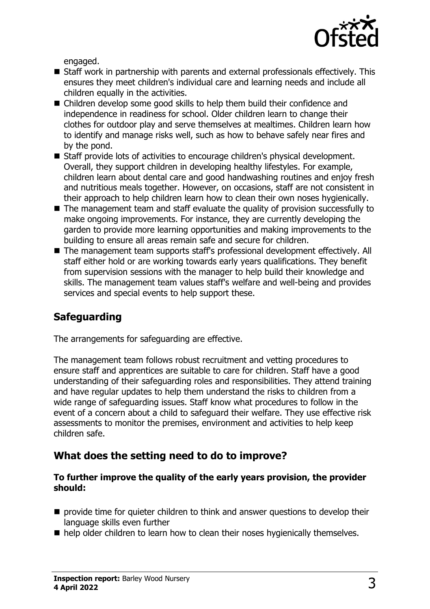

engaged.

- Staff work in partnership with parents and external professionals effectively. This ensures they meet children's individual care and learning needs and include all children equally in the activities.
- Children develop some good skills to help them build their confidence and independence in readiness for school. Older children learn to change their clothes for outdoor play and serve themselves at mealtimes. Children learn how to identify and manage risks well, such as how to behave safely near fires and by the pond.
- Staff provide lots of activities to encourage children's physical development. Overall, they support children in developing healthy lifestyles. For example, children learn about dental care and good handwashing routines and enjoy fresh and nutritious meals together. However, on occasions, staff are not consistent in their approach to help children learn how to clean their own noses hygienically.
- $\blacksquare$  The management team and staff evaluate the quality of provision successfully to make ongoing improvements. For instance, they are currently developing the garden to provide more learning opportunities and making improvements to the building to ensure all areas remain safe and secure for children.
- The management team supports staff's professional development effectively. All staff either hold or are working towards early years qualifications. They benefit from supervision sessions with the manager to help build their knowledge and skills. The management team values staff's welfare and well-being and provides services and special events to help support these.

# **Safeguarding**

The arrangements for safeguarding are effective.

The management team follows robust recruitment and vetting procedures to ensure staff and apprentices are suitable to care for children. Staff have a good understanding of their safeguarding roles and responsibilities. They attend training and have regular updates to help them understand the risks to children from a wide range of safeguarding issues. Staff know what procedures to follow in the event of a concern about a child to safeguard their welfare. They use effective risk assessments to monitor the premises, environment and activities to help keep children safe.

### **What does the setting need to do to improve?**

#### **To further improve the quality of the early years provision, the provider should:**

- $\blacksquare$  provide time for quieter children to think and answer questions to develop their language skills even further
- $\blacksquare$  help older children to learn how to clean their noses hygienically themselves.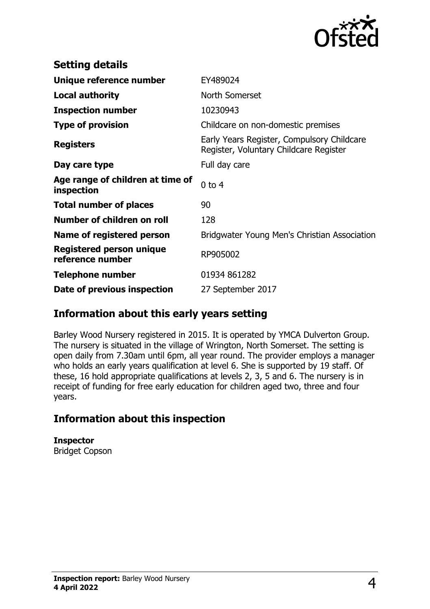

| <b>Setting details</b>                              |                                                                                      |
|-----------------------------------------------------|--------------------------------------------------------------------------------------|
| Unique reference number                             | EY489024                                                                             |
| <b>Local authority</b>                              | North Somerset                                                                       |
| <b>Inspection number</b>                            | 10230943                                                                             |
| <b>Type of provision</b>                            | Childcare on non-domestic premises                                                   |
| <b>Registers</b>                                    | Early Years Register, Compulsory Childcare<br>Register, Voluntary Childcare Register |
| Day care type                                       | Full day care                                                                        |
| Age range of children at time of<br>inspection      | $0$ to $4$                                                                           |
| <b>Total number of places</b>                       | 90                                                                                   |
| Number of children on roll                          | 128                                                                                  |
| Name of registered person                           | Bridgwater Young Men's Christian Association                                         |
| <b>Registered person unique</b><br>reference number | RP905002                                                                             |
| <b>Telephone number</b>                             | 01934 861282                                                                         |
| Date of previous inspection                         | 27 September 2017                                                                    |

### **Information about this early years setting**

Barley Wood Nursery registered in 2015. It is operated by YMCA Dulverton Group. The nursery is situated in the village of Wrington, North Somerset. The setting is open daily from 7.30am until 6pm, all year round. The provider employs a manager who holds an early years qualification at level 6. She is supported by 19 staff. Of these, 16 hold appropriate qualifications at levels 2, 3, 5 and 6. The nursery is in receipt of funding for free early education for children aged two, three and four years.

# **Information about this inspection**

**Inspector** Bridget Copson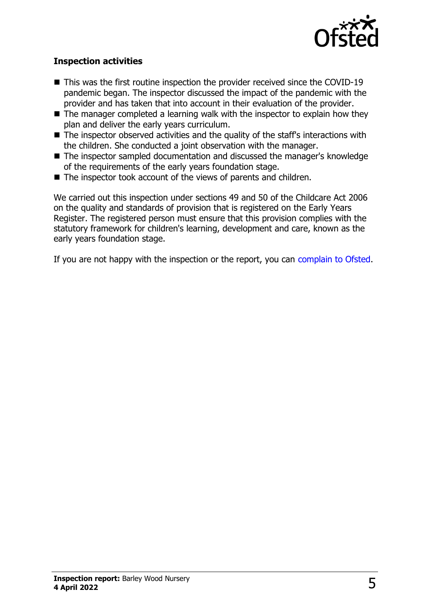

#### **Inspection activities**

- $\blacksquare$  This was the first routine inspection the provider received since the COVID-19 pandemic began. The inspector discussed the impact of the pandemic with the provider and has taken that into account in their evaluation of the provider.
- $\blacksquare$  The manager completed a learning walk with the inspector to explain how they plan and deliver the early years curriculum.
- $\blacksquare$  The inspector observed activities and the quality of the staff's interactions with the children. She conducted a joint observation with the manager.
- The inspector sampled documentation and discussed the manager's knowledge of the requirements of the early years foundation stage.
- $\blacksquare$  The inspector took account of the views of parents and children.

We carried out this inspection under sections 49 and 50 of the Childcare Act 2006 on the quality and standards of provision that is registered on the Early Years Register. The registered person must ensure that this provision complies with the statutory framework for children's learning, development and care, known as the early years foundation stage.

If you are not happy with the inspection or the report, you can [complain to Ofsted](http://www.gov.uk/complain-ofsted-report).